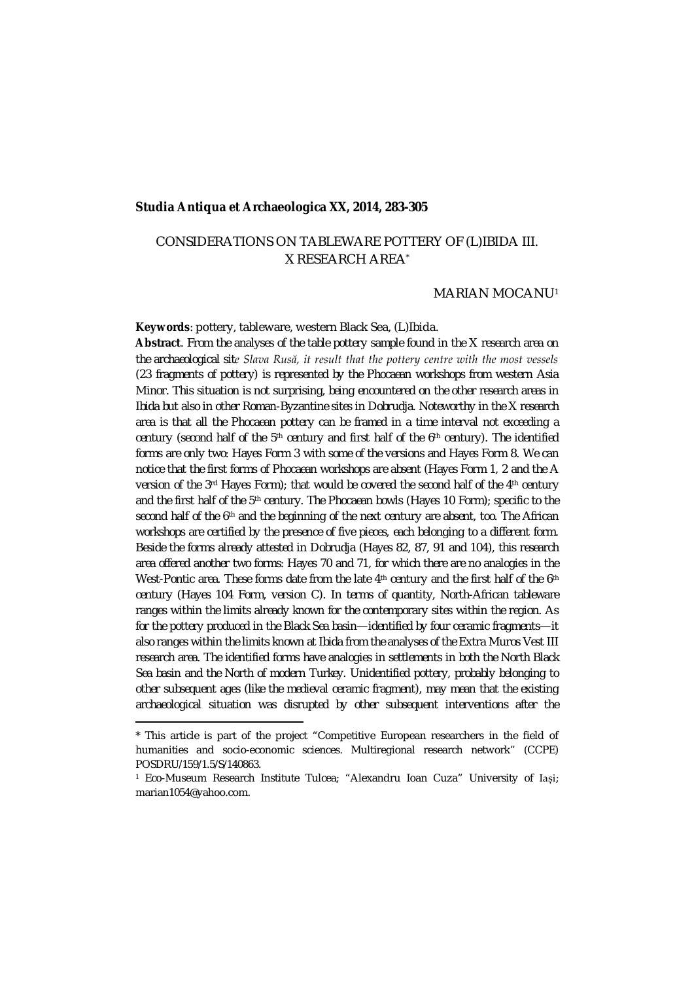#### **Studia Antiqua et Archaeologica XX, 2014, 283-305**

# CONSIDERATIONS ON TABLEWARE POTTERY OF (L)IBIDA III. X RESEARCH AREA\*

#### MARIAN MOCANU[1](#page-0-0)

**Keywords**: pottery, tableware, western Black Sea, (L)Ibida.

**Abstract**. *From the analyses of the table pottery sample found in the X research area on the archaeological site Slava Rusă, it result that the pottery centre with the most vessels (23 fragments of pottery) is represented by the Phocaean workshops from western Asia Minor. This situation is not surprising, being encountered on the other research areas in Ibida but also in other Roman-Byzantine sites in Dobrudja. Noteworthy in the X research area is that all the Phocaean pottery can be framed in a time interval not exceeding a century (second half of the 5th century and first half of the 6th century). The identified forms are only two: Hayes Form 3 with some of the versions and Hayes Form 8. We can notice that the first forms of Phocaean workshops are absent (Hayes Form 1, 2 and the A version of the 3rd Hayes Form); that would be covered the second half of the 4th century and the first half of the 5th century. The Phocaean bowls (Hayes 10 Form); specific to the second half of the 6th and the beginning of the next century are absent, too. The African workshops are certified by the presence of five pieces, each belonging to a different form. Beside the forms already attested in Dobrudja (Hayes 82, 87, 91 and 104), this research area offered another two forms: Hayes 70 and 71, for which there are no analogies in the West-Pontic area. These forms date from the late 4th century and the first half of the 6th century (Hayes 104 Form, version C). In terms of quantity, North-African tableware ranges within the limits already known for the contemporary sites within the region. As for the pottery produced in the Black Sea basin—identified by four ceramic fragments—it also ranges within the limits known at Ibida from the analyses of the Extra Muros Vest III research area. The identified forms have analogies in settlements in both the North Black Sea basin and the North of modern Turkey. Unidentified pottery, probably belonging to other subsequent ages (like the medieval ceramic fragment), may mean that the existing archaeological situation was disrupted by other subsequent interventions after the* 

<span id="page-0-0"></span><sup>\*</sup> This article is part of the project "Competitive European researchers in the field of humanities and socio-economic sciences. Multiregional research network" (CCPE) POSDRU/159/1.5/S/140863.

<sup>1</sup> Eco-Museum Research Institute Tulcea; "Alexandru Ioan Cuza" University of Iași; marian1054@yahoo.com.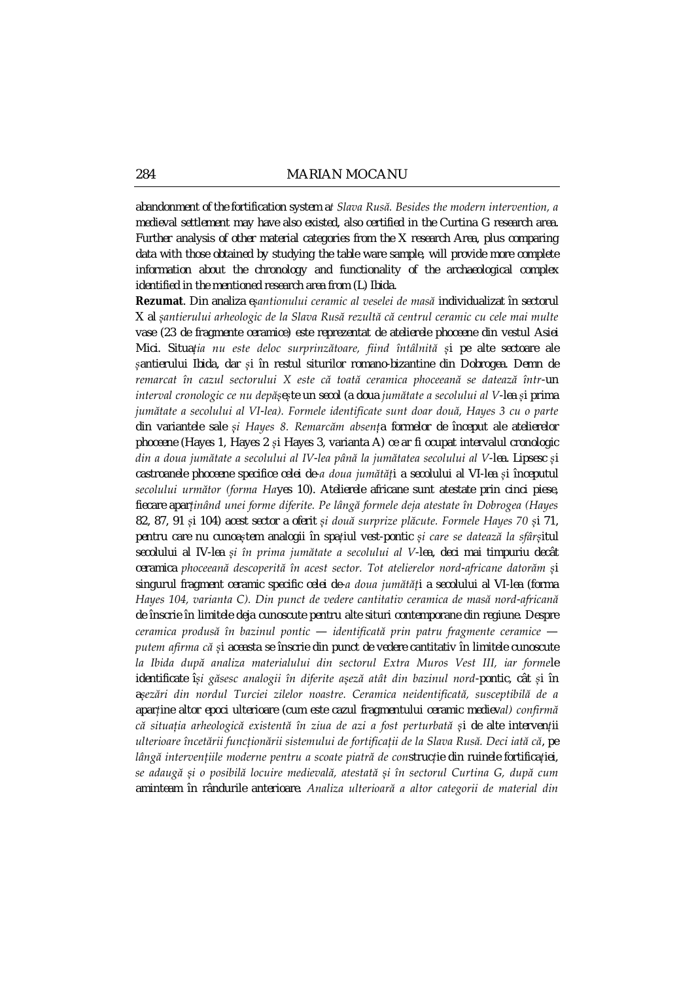*abandonment of the fortification system at Slava Rusă. Besides the modern intervention, a medieval settlement may have also existed, also certified in the Curtina G research area. Further analysis of other material categories from the X research Area, plus comparing data with those obtained by studying the table ware sample, will provide more complete information about the chronology and functionality of the archaeological complex identified in the mentioned research area from (L) Ibida.*

**Rezumat**. *Din analiza eșantionului ceramic al veselei de masă individualizat în sectorul X al șantierului arheologic de la Slava Rusă rezultă că centrul ceramic cu cele mai multe vase (23 de fragmente ceramice) este reprezentat de atelierele phoceene din vestul Asiei Mici. Situația nu este deloc surprinzătoare, fiind întâlnită și pe alte sectoare ale șantierului Ibida, dar și în restul siturilor romano-bizantine din Dobrogea. Demn de remarcat în cazul sectorului X este că toată ceramica phoceeană se datează într-un interval cronologic ce nu depășește un secol (a doua jumătate a secolului al V-lea și prima jumătate a secolului al VI-lea). Formele identificate sunt doar două, Hayes 3 cu o parte din variantele sale și Hayes 8. Remarcăm absența formelor de început ale atelierelor phoceene (Hayes 1, Hayes 2 și Hayes 3, varianta A) ce ar fi ocupat intervalul cronologic din a doua jumătate a secolului al IV-lea până la jumătatea secolului al V-lea. Lipsesc și castroanele phoceene specifice celei de-a doua jumătăți a secolului al VI-lea și începutul secolului următor (forma Hayes 10). Atelierele africane sunt atestate prin cinci piese, fiecare aparținând unei forme diferite. Pe lângă formele deja atestate în Dobrogea (Hayes 82, 87, 91 și 104) acest sector a oferit și două surprize plăcute. Formele Hayes 70 și 71, pentru care nu cunoaștem analogii în spațiul vest-pontic și care se datează la sfârșitul secolului al IV-lea și în prima jumătate a secolului al V-lea, deci mai timpuriu decât ceramica phoceeană descoperită în acest sector. Tot atelierelor nord-africane datorăm și singurul fragment ceramic specific celei de-a doua jumătăți a secolului al VI-lea (forma Hayes 104, varianta C). Din punct de vedere cantitativ ceramica de masă nord-africană de înscrie în limitele deja cunoscute pentru alte situri contemporane din regiune. Despre ceramica produsă în bazinul pontic — identificată prin patru fragmente ceramice putem afirma că și aceasta se înscrie din punct de vedere cantitativ în limitele cunoscute la Ibida după analiza materialului din sectorul Extra Muros Vest III, iar formele identificate își găsesc analogii în diferite așeză atât din bazinul nord-pontic, cât și în așezări din nordul Turciei zilelor noastre. Ceramica neidentificată, susceptibilă de a aparține altor epoci ulterioare (cum este cazul fragmentului ceramic medieval) confirmă că situația arheologică existentă în ziua de azi a fost perturbată și de alte intervenții ulterioare încetării funcționării sistemului de fortificații de la Slava Rusă. Deci iată că, pe lângă intervențiile moderne pentru a scoate piatră de construcție din ruinele fortificației, se adaugă și o posibilă locuire medievală, atestată și în sectorul Curtina G, după cum aminteam în rândurile anterioare. Analiza ulterioară a altor categorii de material din*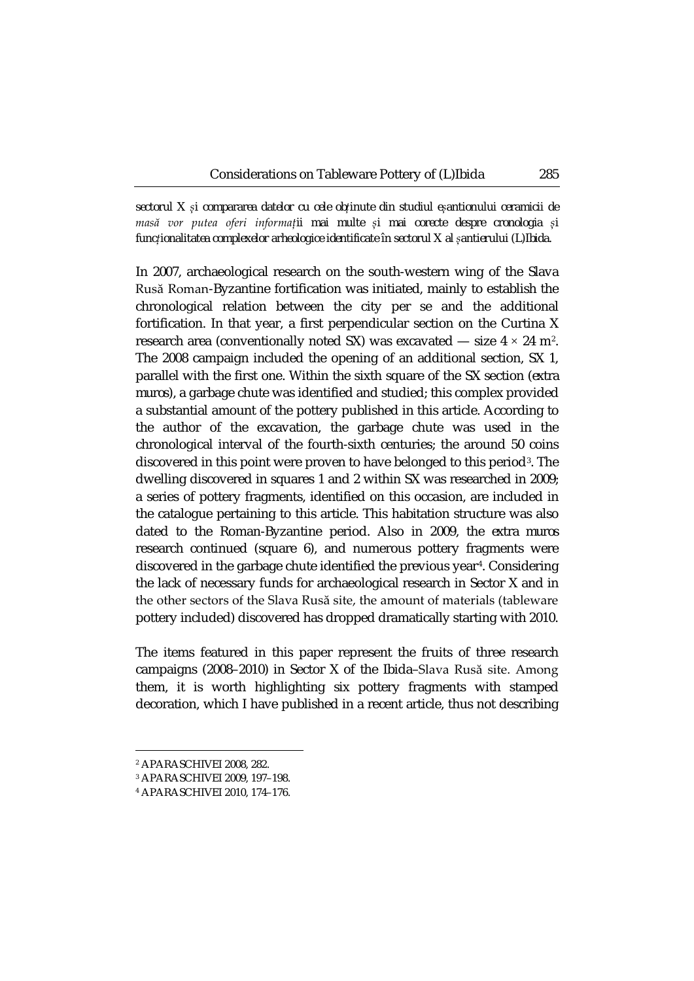*sectorul X și compararea datelor cu cele obținute din studiul eșantionului ceramicii de masă vor putea oferi informații mai multe și mai corecte despre cronologia și funcționalitatea complexelor arheologice identificate în sectorul X al șantierului (L)Ibida.*

In 2007, archaeological research on the south-western wing of the Slava Rusă Roman-Byzantine fortification was initiated, mainly to establish the chronological relation between the city per se and the additional fortification. In that year, a first perpendicular section on the Curtina X research area (conventionally noted SX) was excavated — size  $4 \times 24$  $4 \times 24$  $4 \times 24$  m<sup>2</sup>. The 2008 campaign included the opening of an additional section, SX 1, parallel with the first one. Within the sixth square of the SX section (*extra muros*), a garbage chute was identified and studied; this complex provided a substantial amount of the pottery published in this article. According to the author of the excavation, the garbage chute was used in the chronological interval of the fourth-sixth centuries; the around 50 coins discovered in this point were proven to have belonged to this period[3](#page-2-1). The dwelling discovered in squares 1 and 2 within SX was researched in 2009; a series of pottery fragments, identified on this occasion, are included in the catalogue pertaining to this article. This habitation structure was also dated to the Roman-Byzantine period. Also in 2009, the *extra muros* research continued (square 6), and numerous pottery fragments were discovered in the garbage chute identified the previous year<sup>[4](#page-2-2)</sup>. Considering the lack of necessary funds for archaeological research in Sector X and in the other sectors of the Slava Rusă site, the amount of materials (tableware pottery included) discovered has dropped dramatically starting with 2010.

The items featured in this paper represent the fruits of three research campaigns (2008–2010) in Sector X of the Ibida–Slava Rusă site. Among them, it is worth highlighting six pottery fragments with stamped decoration, which I have published in a recent article, thus not describing

<span id="page-2-1"></span><span id="page-2-0"></span><sup>2</sup> APARASCHIVEI 2008, 282.

<sup>3</sup> APARASCHIVEI 2009, 197–198.

<span id="page-2-2"></span><sup>4</sup> APARASCHIVEI 2010, 174–176.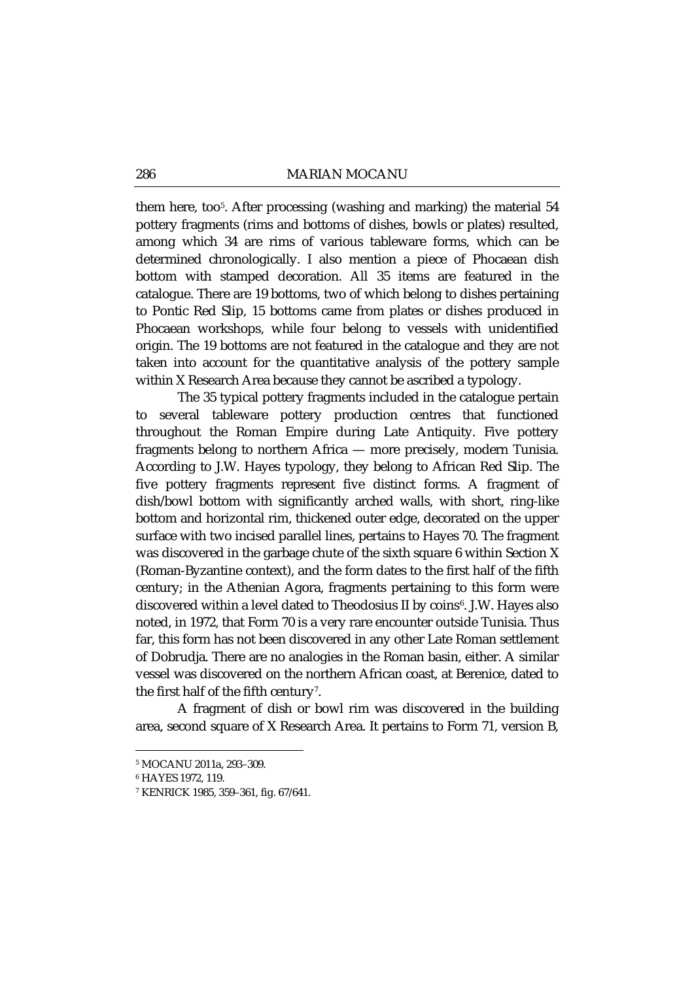them here, too[5](#page-3-0). After processing (washing and marking) the material 54 pottery fragments (rims and bottoms of dishes, bowls or plates) resulted, among which 34 are rims of various tableware forms, which can be determined chronologically. I also mention a piece of Phocaean dish bottom with stamped decoration. All 35 items are featured in the catalogue. There are 19 bottoms, two of which belong to dishes pertaining to Pontic Red Slip, 15 bottoms came from plates or dishes produced in Phocaean workshops, while four belong to vessels with unidentified origin. The 19 bottoms are not featured in the catalogue and they are not taken into account for the quantitative analysis of the pottery sample within X Research Area because they cannot be ascribed a typology.

The 35 typical pottery fragments included in the catalogue pertain to several tableware pottery production centres that functioned throughout the Roman Empire during Late Antiquity. Five pottery fragments belong to northern Africa — more precisely, modern Tunisia. According to J.W. Hayes typology, they belong to African Red Slip. The five pottery fragments represent five distinct forms. A fragment of dish/bowl bottom with significantly arched walls, with short, ring-like bottom and horizontal rim, thickened outer edge, decorated on the upper surface with two incised parallel lines, pertains to Hayes 70. The fragment was discovered in the garbage chute of the sixth square 6 within Section X (Roman-Byzantine context), and the form dates to the first half of the fifth century; in the Athenian Agora, fragments pertaining to this form were discovered within a level dated to Theodosius II by coins<sup>6</sup>. J.W. Hayes also noted, in 1972, that Form 70 is a very rare encounter outside Tunisia. Thus far, this form has not been discovered in any other Late Roman settlement of Dobrudja. There are no analogies in the Roman basin, either. A similar vessel was discovered on the northern African coast, at Berenice, dated to the first half of the fifth century<sup>7</sup>.

A fragment of dish or bowl rim was discovered in the building area, second square of X Research Area. It pertains to Form 71, version B,

<span id="page-3-1"></span><span id="page-3-0"></span><sup>5</sup> MOCANU 2011a, 293–309.

<sup>6</sup> HAYES 1972, 119.

<span id="page-3-2"></span><sup>7</sup> KENRICK 1985, 359–361, fig. 67/641.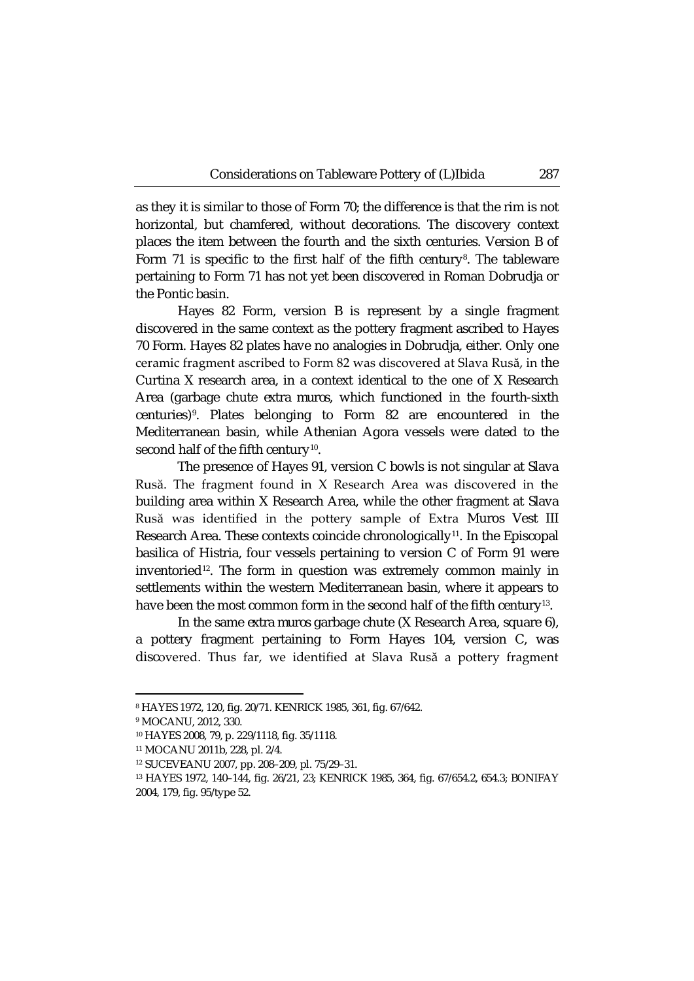as they it is similar to those of Form 70; the difference is that the rim is not horizontal, but chamfered, without decorations. The discovery context places the item between the fourth and the sixth centuries. Version B of Form 71 is specific to the first half of the fifth century<sup>[8](#page-4-0)</sup>. The tableware pertaining to Form 71 has not yet been discovered in Roman Dobrudja or the Pontic basin.

Hayes 82 Form, version B is represent by a single fragment discovered in the same context as the pottery fragment ascribed to Hayes 70 Form. Hayes 82 plates have no analogies in Dobrudja, either. Only one ceramic fragment ascribed to Form 82 was discovered at Slava Rusă, in the Curtina X research area, in a context identical to the one of X Research Area (garbage chute *extra muros*, which functioned in the fourth-sixth centuries)[9](#page-4-1). Plates belonging to Form 82 are encountered in the Mediterranean basin, while Athenian Agora vessels were dated to the second half of the fifth century<sup>[10](#page-4-2)</sup>.

The presence of Hayes 91, version C bowls is not singular at Slava Rusă. The fragment found in X Research Area was discovered in the building area within X Research Area, while the other fragment at Slava Rusă was identified in the pottery sample of Extra Muros Vest III Research Area. These contexts coincide chronologically<sup>11</sup>. In the Episcopal basilica of Histria, four vessels pertaining to version C of Form 91 were inventoried<sup>12</sup>. The form in question was extremely common mainly in settlements within the western Mediterranean basin, where it appears to have been the most common form in the second half of the fifth century<sup>[13](#page-4-5)</sup>.

In the same *extra muros* garbage chute (X Research Area, square 6), a pottery fragment pertaining to Form Hayes 104, version C, was discovered. Thus far, we identified at Slava Rusă a pottery fragment

**.** 

<span id="page-4-0"></span><sup>8</sup> HAYES 1972, 120, fig. 20/71. KENRICK 1985, 361, fig. 67/642.

<span id="page-4-2"></span><span id="page-4-1"></span><sup>9</sup> MOCANU, 2012, 330.

<sup>10</sup> HAYES 2008, 79, p. 229/1118, fig. 35/1118.

<span id="page-4-3"></span><sup>11</sup> MOCANU 2011b, 228, pl. 2/4.

<sup>12</sup> SUCEVEANU 2007, pp. 208–209, pl. 75/29–31.

<span id="page-4-5"></span><span id="page-4-4"></span><sup>13</sup> HAYES 1972, 140–144, fig. 26/21, 23; KENRICK 1985, 364, fig. 67/654.2, 654.3; BONIFAY 2004, 179, fig. 95/type 52.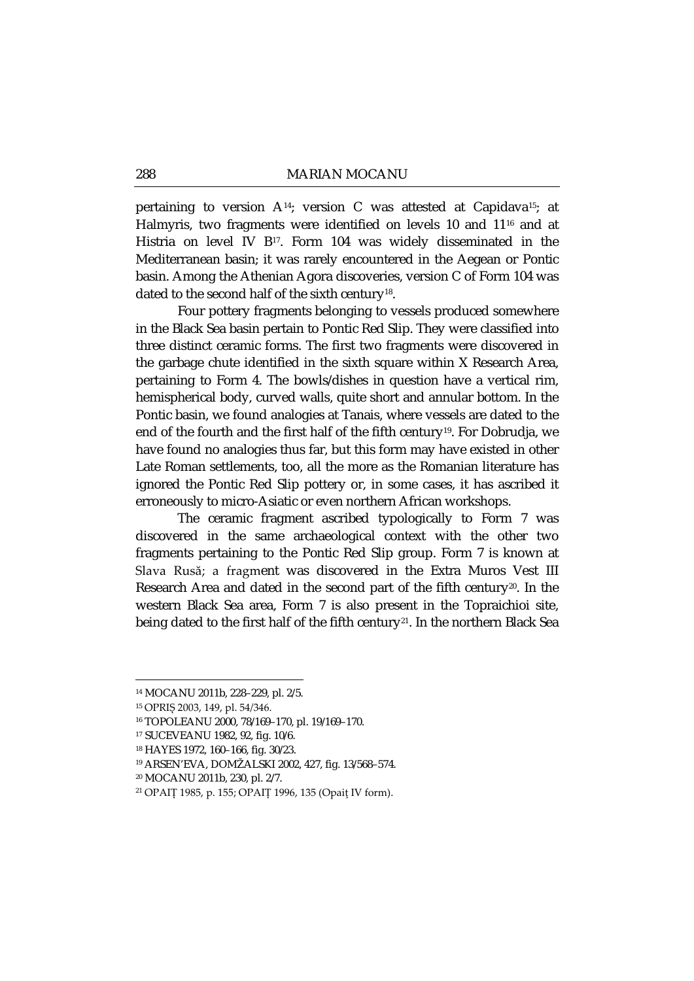pertaining to version A[14;](#page-5-0) version C was attested at Capidav[a15;](#page-5-1) at Halmyris, two fragments were identified on levels 10 and 11[16](#page-5-2) and at Histria on level IV B<sup>[17](#page-5-3)</sup>. Form 104 was widely disseminated in the Mediterranean basin; it was rarely encountered in the Aegean or Pontic basin. Among the Athenian Agora discoveries, version C of Form 104 was dated to the second half of the sixth century<sup>[18](#page-5-4)</sup>.

Four pottery fragments belonging to vessels produced somewhere in the Black Sea basin pertain to Pontic Red Slip. They were classified into three distinct ceramic forms. The first two fragments were discovered in the garbage chute identified in the sixth square within X Research Area, pertaining to Form 4. The bowls/dishes in question have a vertical rim, hemispherical body, curved walls, quite short and annular bottom. In the Pontic basin, we found analogies at Tanais, where vessels are dated to the end of the fourth and the first half of the fifth century<sup>19</sup>. For Dobrudja, we have found no analogies thus far, but this form may have existed in other Late Roman settlements, too, all the more as the Romanian literature has ignored the Pontic Red Slip pottery or, in some cases, it has ascribed it erroneously to micro-Asiatic or even northern African workshops.

The ceramic fragment ascribed typologically to Form 7 was discovered in the same archaeological context with the other two fragments pertaining to the Pontic Red Slip group. Form 7 is known at Slava Rusă; a fragment was discovered in the Extra Muros Vest III Research Area and dated in the second part of the fifth century<sup>20</sup>. In the western Black Sea area, Form 7 is also present in the Topraichioi site, being dated to the first half of the fifth century<sup>21</sup>. In the northern Black Sea

<span id="page-5-0"></span><sup>14</sup> MOCANU 2011b, 228–229, pl. 2/5.

<span id="page-5-2"></span><span id="page-5-1"></span><sup>15</sup> OPRIȘ 2003, 149, pl. 54/346.

<sup>16</sup> TOPOLEANU 2000, 78/169–170, pl. 19/169–170.

<span id="page-5-3"></span><sup>17</sup> SUCEVEANU 1982, 92, fig. 10/6.

<span id="page-5-4"></span><sup>18</sup> HAYES 1972, 160–166, fig. 30/23.

<sup>19</sup> ARSEN'EVA, DOMŽALSKI 2002, 427, fig. 13/568–574.

<span id="page-5-5"></span><sup>20</sup> MOCANU 2011b, 230, pl. 2/7.

<span id="page-5-7"></span><span id="page-5-6"></span><sup>21</sup> OPAIȚ 1985, p. 155; OPAIȚ 1996, 135 (Opaiţ IV form).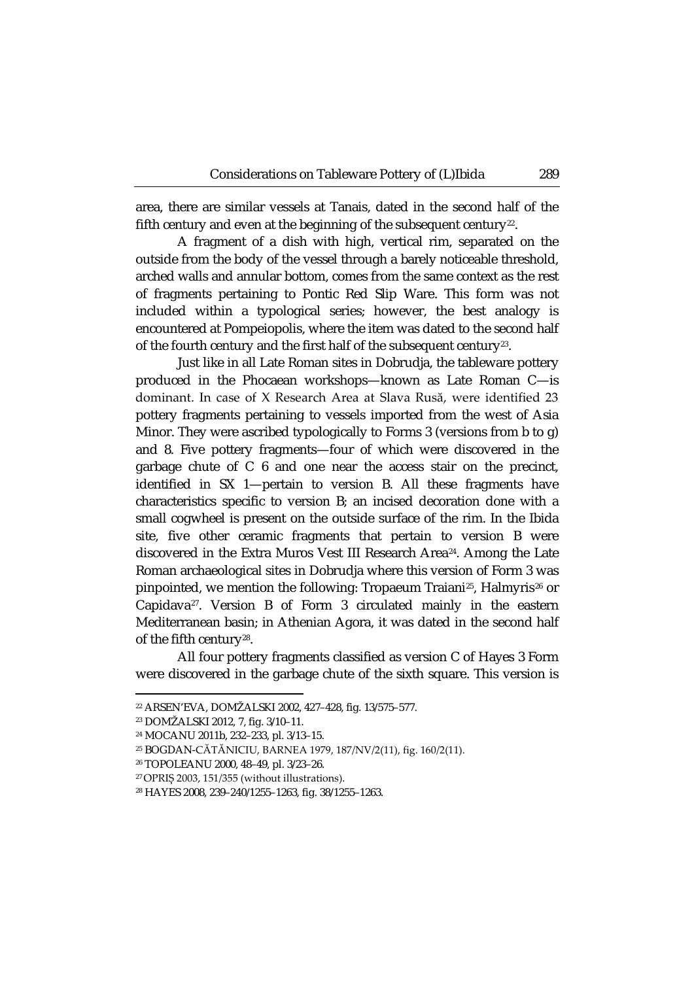area, there are similar vessels at Tanais, dated in the second half of the fifth century and even at the beginning of the subsequent century<sup>[22](#page-6-0)</sup>.

A fragment of a dish with high, vertical rim, separated on the outside from the body of the vessel through a barely noticeable threshold, arched walls and annular bottom, comes from the same context as the rest of fragments pertaining to Pontic Red Slip Ware. This form was not included within a typological series; however, the best analogy is encountered at Pompeiopolis, where the item was dated to the second half of the fourth century and the first half of the subsequent century<sup>23</sup>.

Just like in all Late Roman sites in Dobrudja, the tableware pottery produced in the Phocaean workshops—known as Late Roman C—is dominant. In case of X Research Area at Slava Rusă, were identified 23 pottery fragments pertaining to vessels imported from the west of Asia Minor. They were ascribed typologically to Forms 3 (versions from b to g) and 8. Five pottery fragments—four of which were discovered in the garbage chute of C 6 and one near the access stair on the precinct, identified in SX 1—pertain to version B. All these fragments have characteristics specific to version B; an incised decoration done with a small cogwheel is present on the outside surface of the rim. In the Ibida site, five other ceramic fragments that pertain to version B were discovered in the Extra Muros Vest III Research Area<sup>[24](#page-6-2)</sup>. Among the Late Roman archaeological sites in Dobrudja where this version of Form 3 was pinpointed, we mention the following: Tropaeum Traiani<sup>[25](#page-6-3)</sup>, Halmyris<sup>[26](#page-6-4)</sup> or Capidava[27](#page-6-5). Version B of Form 3 circulated mainly in the eastern Mediterranean basin; in Athenian Agora, it was dated in the second half of the fifth century[28](#page-6-6).

All four pottery fragments classified as version C of Hayes 3 Form were discovered in the garbage chute of the sixth square. This version is

**.** 

<span id="page-6-0"></span><sup>22</sup> ARSEN'EVA, DOMŽALSKI 2002, 427–428, fig. 13/575–577.

<span id="page-6-2"></span><span id="page-6-1"></span><sup>23</sup> DOMŽALSKI 2012, 7, fig. 3/10–11.

<sup>24</sup> MOCANU 2011b, 232–233, pl. 3/13–15.

<span id="page-6-3"></span><sup>25</sup> BOGDAN-CĂTĂNICIU, BARNEA 1979, 187/NV/2(11), fig. 160/2(11).

<span id="page-6-4"></span><sup>26</sup> TOPOLEANU 2000, 48–49, pl. 3/23–26.

<sup>27</sup> OPRIȘ 2003, 151/355 (without illustrations).

<span id="page-6-6"></span><span id="page-6-5"></span><sup>28</sup> HAYES 2008, 239–240/1255–1263, fig. 38/1255–1263.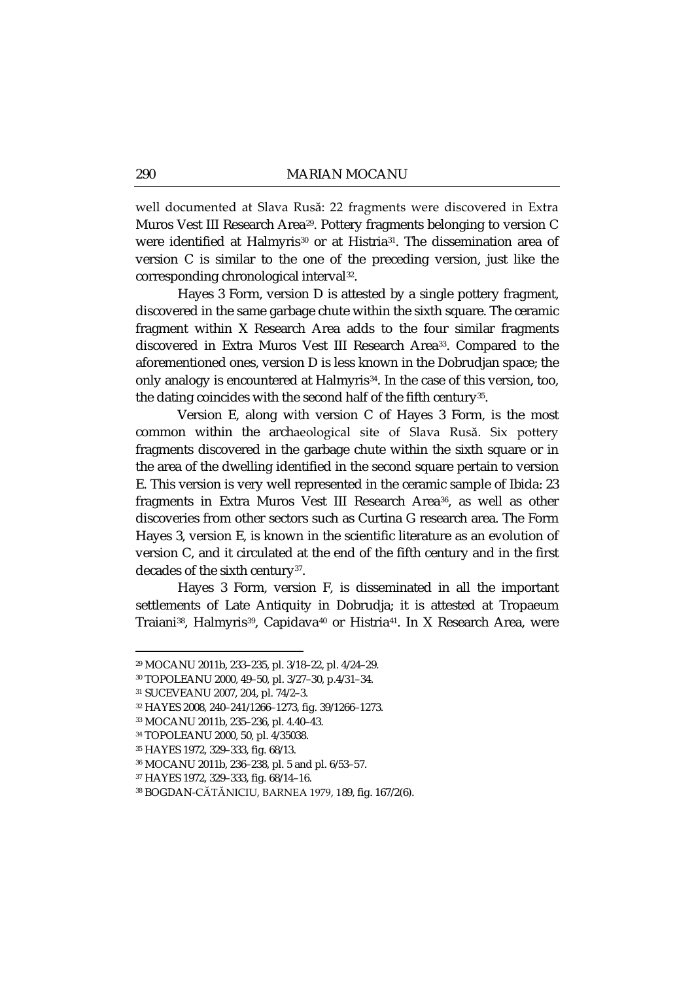well documented at Slava Rusă: 22 fragments were discovered in Extra Muros Vest III Research Area[29.](#page-7-0) Pottery fragments belonging to version C were identified at Halmyris<sup>[30](#page-7-1)</sup> or at Histria<sup>[31](#page-7-2)</sup>. The dissemination area of version C is similar to the one of the preceding version, just like the corresponding chronological interval[32.](#page-7-3)

Hayes 3 Form, version D is attested by a single pottery fragment, discovered in the same garbage chute within the sixth square. The ceramic fragment within X Research Area adds to the four similar fragments discovered in Extra Muros Vest III Research Area<sup>33</sup>. Compared to the aforementioned ones, version D is less known in the Dobrudjan space; the only analogy is encountered at Halmyris<sup>34</sup>. In the case of this version, too, the dating coincides with the second half of the fifth century<sup>35</sup>.

Version E, along with version C of Hayes 3 Form, is the most common within the archaeological site of Slava Rusă. Six pottery fragments discovered in the garbage chute within the sixth square or in the area of the dwelling identified in the second square pertain to version E. This version is very well represented in the ceramic sample of Ibida: 23 fragments in Extra Muros Vest III Research Area<sup>[36](#page-7-7)</sup>, as well as other discoveries from other sectors such as Curtina G research area. The Form Hayes 3, version E, is known in the scientific literature as an evolution of version C, and it circulated at the end of the fifth century and in the first decades of the sixth century<sup>[37](#page-7-8)</sup>.

Hayes 3 Form, version F, is disseminated in all the important settlements of Late Antiquity in Dobrudja; it is attested at Tropaeum Traiani<sup>[38](#page-7-9)</sup>, Halmyris<sup>39</sup>, Capidava<sup>[40](#page-7-0)</sup> or Histria<sup>41</sup>. In X Research Area, were

**.** 

<span id="page-7-10"></span><span id="page-7-0"></span><sup>29</sup> MOCANU 2011b, 233–235, pl. 3/18–22, pl. 4/24–29.

<sup>30</sup> TOPOLEANU 2000, 49–50, pl. 3/27–30, p.4/31–34.

<span id="page-7-2"></span><span id="page-7-1"></span><sup>31</sup> SUCEVEANU 2007, 204, pl. 74/2–3.

<span id="page-7-3"></span><sup>32</sup> HAYES 2008, 240–241/1266–1273, fig. 39/1266–1273.

<span id="page-7-5"></span><span id="page-7-4"></span><sup>33</sup> MOCANU 2011b, 235–236, pl. 4.40–43.

<sup>34</sup> TOPOLEANU 2000, 50, pl. 4/35038.

<span id="page-7-6"></span><sup>35</sup> HAYES 1972, 329–333, fig. 68/13.

<span id="page-7-7"></span><sup>36</sup> MOCANU 2011b, 236–238, pl. 5 and pl. 6/53–57.

<span id="page-7-8"></span><sup>37</sup> HAYES 1972, 329–333, fig. 68/14–16.

<span id="page-7-9"></span><sup>38</sup> BOGDAN-CĂTĂNICIU, BARNEA 1979, 189, fig. 167/2(6).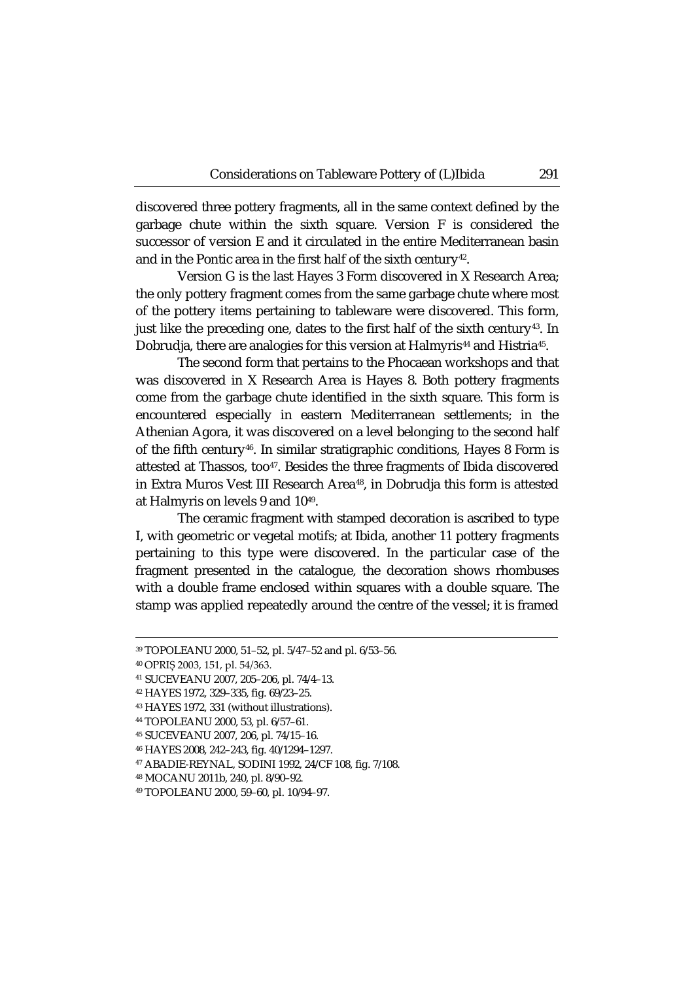discovered three pottery fragments, all in the same context defined by the garbage chute within the sixth square. Version F is considered the successor of version E and it circulated in the entire Mediterranean basin and in the Pontic area in the first half of the sixth century<sup>42</sup>.

Version G is the last Hayes 3 Form discovered in X Research Area; the only pottery fragment comes from the same garbage chute where most of the pottery items pertaining to tableware were discovered. This form, just like the preceding one, dates to the first half of the sixth century<sup>43</sup>. In Dobrudja, there are analogies for this version at Halmyris<sup>[44](#page-8-2)</sup> and Histria<sup>45</sup>.

The second form that pertains to the Phocaean workshops and that was discovered in X Research Area is Hayes 8. Both pottery fragments come from the garbage chute identified in the sixth square. This form is encountered especially in eastern Mediterranean settlements; in the Athenian Agora, it was discovered on a level belonging to the second half of the fifth centur[y46.](#page-8-4) In similar stratigraphic conditions, Hayes 8 Form is attested at Thassos, too<sup>47</sup>. Besides the three fragments of Ibida discovered in Extra Muros Vest III Research Area<sup>48</sup>, in Dobrudja this form is attested at Halmyris on levels 9 and 10[49](#page-8-7).

The ceramic fragment with stamped decoration is ascribed to type I, with geometric or vegetal motifs; at Ibida, another 11 pottery fragments pertaining to this type were discovered. In the particular case of the fragment presented in the catalogue, the decoration shows rhombuses with a double frame enclosed within squares with a double square. The stamp was applied repeatedly around the centre of the vessel; it is framed

<sup>39</sup> TOPOLEANU 2000, 51–52, pl. 5/47–52 and pl. 6/53–56.

<sup>40</sup> OPRIȘ 2003, 151, pl. 54/363.

<sup>41</sup> SUCEVEANU 2007, 205–206, pl. 74/4–13.

<sup>42</sup> HAYES 1972, 329–335, fig. 69/23–25.

<span id="page-8-1"></span><span id="page-8-0"></span><sup>43</sup> HAYES 1972, 331 (without illustrations).

<span id="page-8-3"></span><span id="page-8-2"></span><sup>44</sup> TOPOLEANU 2000, 53, pl. 6/57–61.

<sup>45</sup> SUCEVEANU 2007, 206, pl. 74/15–16.

<span id="page-8-4"></span><sup>46</sup> HAYES 2008, 242–243, fig. 40/1294–1297.

<span id="page-8-5"></span><sup>47</sup> ABADIE-REYNAL, SODINI 1992, 24/CF 108, fig. 7/108.

<span id="page-8-6"></span><sup>48</sup> MOCANU 2011b, 240, pl. 8/90–92.

<span id="page-8-7"></span><sup>49</sup> TOPOLEANU 2000, 59–60, pl. 10/94–97.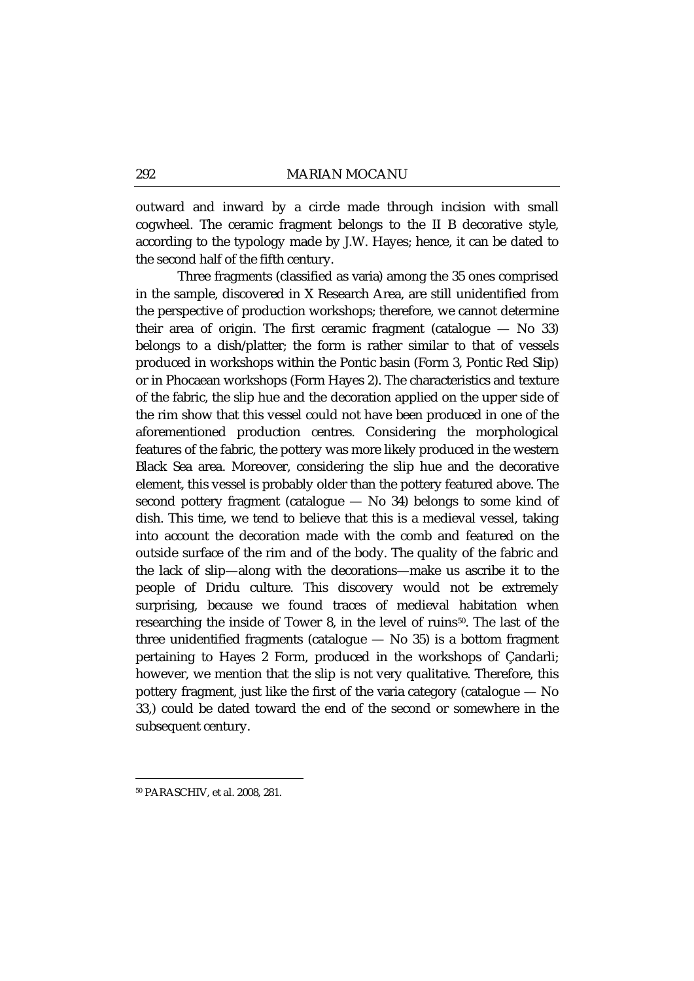outward and inward by a circle made through incision with small cogwheel. The ceramic fragment belongs to the II B decorative style, according to the typology made by J.W. Hayes; hence, it can be dated to the second half of the fifth century.

Three fragments (classified as *varia*) among the 35 ones comprised in the sample, discovered in X Research Area, are still unidentified from the perspective of production workshops; therefore, we cannot determine their area of origin. The first ceramic fragment (catalogue  $-$  No 33) belongs to a dish/platter; the form is rather similar to that of vessels produced in workshops within the Pontic basin (Form 3, Pontic Red Slip) or in Phocaean workshops (Form Hayes 2). The characteristics and texture of the fabric, the slip hue and the decoration applied on the upper side of the rim show that this vessel could not have been produced in one of the aforementioned production centres. Considering the morphological features of the fabric, the pottery was more likely produced in the western Black Sea area. Moreover, considering the slip hue and the decorative element, this vessel is probably older than the pottery featured above. The second pottery fragment (catalogue — No 34) belongs to some kind of dish. This time, we tend to believe that this is a medieval vessel, taking into account the decoration made with the comb and featured on the outside surface of the rim and of the body. The quality of the fabric and the lack of slip—along with the decorations—make us ascribe it to the people of Dridu culture. This discovery would not be extremely surprising, because we found traces of medieval habitation when researching the inside of Tower 8, in the level of ruins $50$ . The last of the three unidentified fragments (catalogue  $-$  No 35) is a bottom fragment pertaining to Hayes 2 Form, produced in the workshops of Çandarli; however, we mention that the slip is not very qualitative. Therefore, this pottery fragment, just like the first of the *varia* category (catalogue — No 33,) could be dated toward the end of the second or somewhere in the subsequent century.

<span id="page-9-0"></span><sup>50</sup> PARASCHIV, et al. 2008, 281.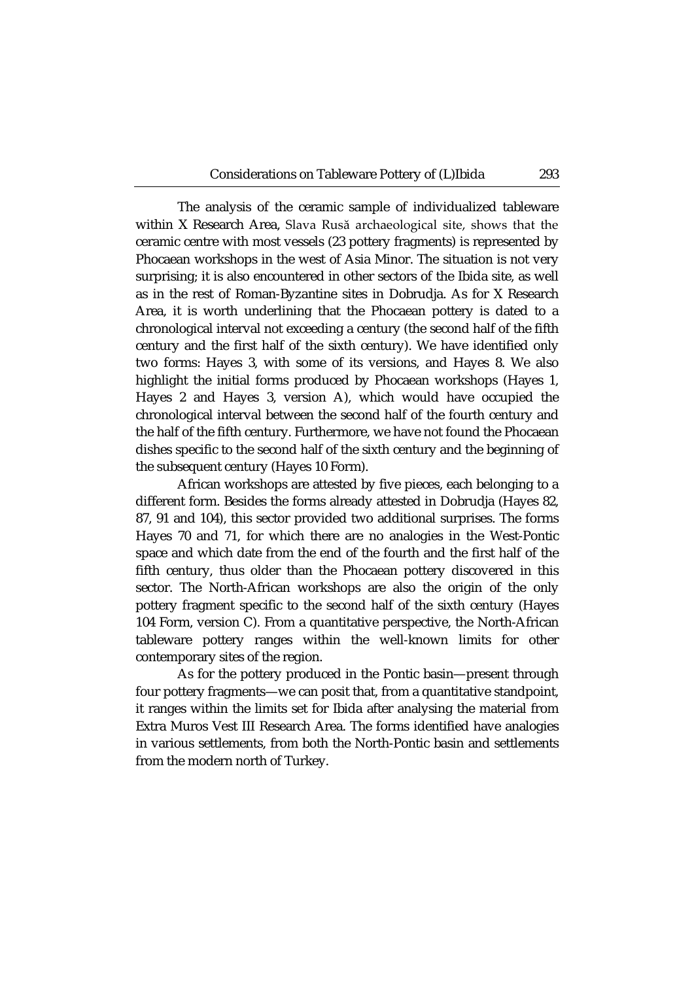The analysis of the ceramic sample of individualized tableware within X Research Area, Slava Rusă archaeological site, shows that the ceramic centre with most vessels (23 pottery fragments) is represented by Phocaean workshops in the west of Asia Minor. The situation is not very surprising; it is also encountered in other sectors of the Ibida site, as well as in the rest of Roman-Byzantine sites in Dobrudja. As for X Research Area, it is worth underlining that the Phocaean pottery is dated to a chronological interval not exceeding a century (the second half of the fifth century and the first half of the sixth century). We have identified only two forms: Hayes 3, with some of its versions, and Hayes 8. We also highlight the initial forms produced by Phocaean workshops (Hayes 1, Hayes 2 and Hayes 3, version A), which would have occupied the chronological interval between the second half of the fourth century and the half of the fifth century. Furthermore, we have not found the Phocaean dishes specific to the second half of the sixth century and the beginning of the subsequent century (Hayes 10 Form).

African workshops are attested by five pieces, each belonging to a different form. Besides the forms already attested in Dobrudja (Hayes 82, 87, 91 and 104), this sector provided two additional surprises. The forms Hayes 70 and 71, for which there are no analogies in the West-Pontic space and which date from the end of the fourth and the first half of the fifth century, thus older than the Phocaean pottery discovered in this sector. The North-African workshops are also the origin of the only pottery fragment specific to the second half of the sixth century (Hayes 104 Form, version C). From a quantitative perspective, the North-African tableware pottery ranges within the well-known limits for other contemporary sites of the region.

As for the pottery produced in the Pontic basin—present through four pottery fragments—we can posit that, from a quantitative standpoint, it ranges within the limits set for Ibida after analysing the material from Extra Muros Vest III Research Area. The forms identified have analogies in various settlements, from both the North-Pontic basin and settlements from the modern north of Turkey.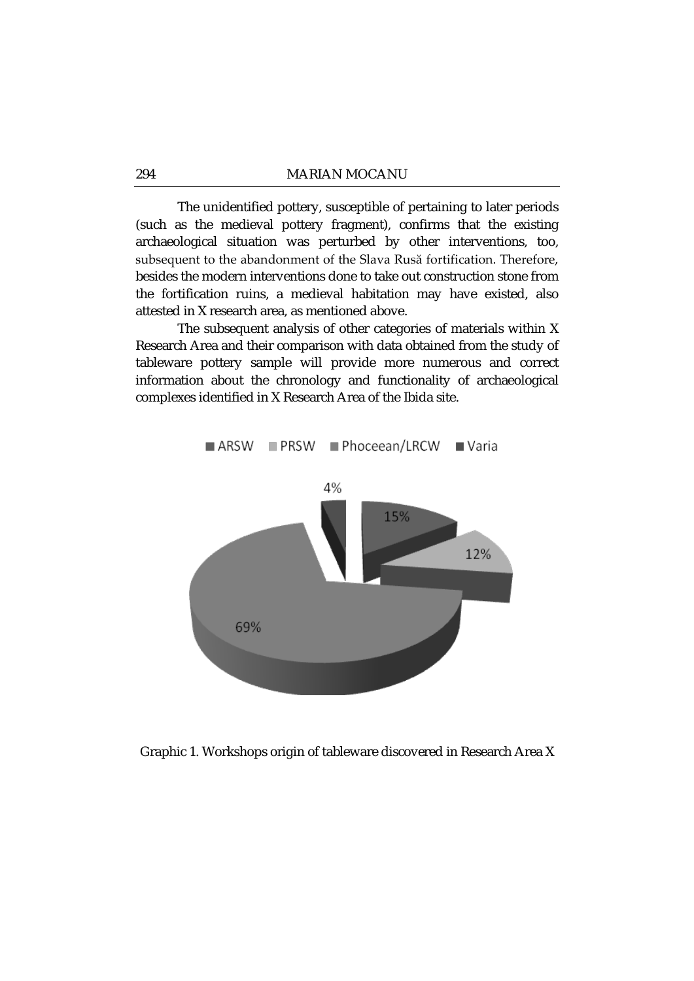The unidentified pottery, susceptible of pertaining to later periods (such as the medieval pottery fragment), confirms that the existing archaeological situation was perturbed by other interventions, too, subsequent to the abandonment of the Slava Rusă fortification. Therefore, besides the modern interventions done to take out construction stone from the fortification ruins, a medieval habitation may have existed, also attested in X research area, as mentioned above.

The subsequent analysis of other categories of materials within X Research Area and their comparison with data obtained from the study of tableware pottery sample will provide more numerous and correct information about the chronology and functionality of archaeological complexes identified in X Research Area of the Ibida site.



Graphic 1. Workshops origin of tableware discovered in Research Area X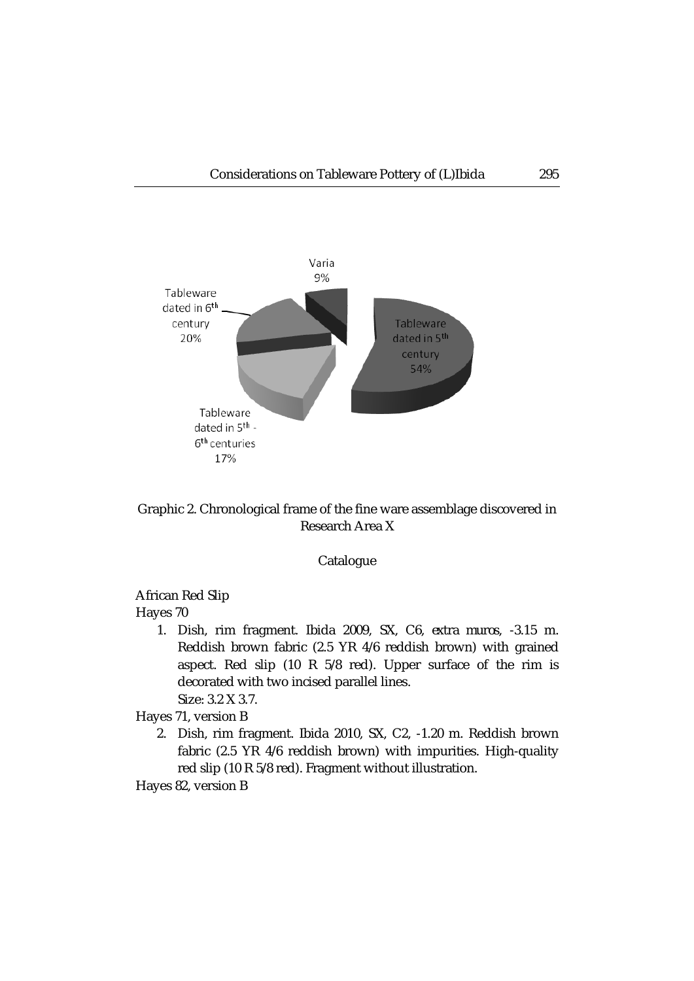

Graphic 2. Chronological frame of the fine ware assemblage discovered in Research Area X

### Catalogue

## African Red Slip

Hayes 70

1. Dish, rim fragment. Ibida 2009, SX, C6, *extra muros*, -3.15 m. Reddish brown fabric (2.5 YR 4/6 reddish brown) with grained aspect. Red slip (10 R 5/8 red). Upper surface of the rim is decorated with two incised parallel lines. Size: 3.2 X 3.7.

Hayes 71, version B

2. Dish, rim fragment. Ibida 2010, SX, C2, -1.20 m. Reddish brown fabric (2.5 YR 4/6 reddish brown) with impurities. High-quality red slip (10 R 5/8 red). Fragment without illustration.

Hayes 82, version B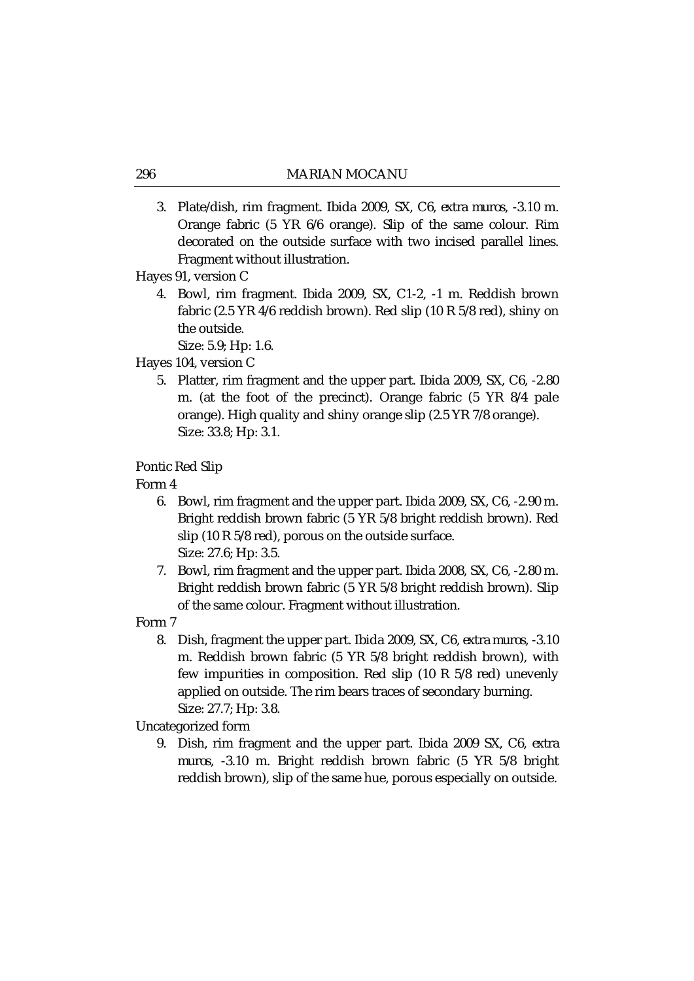3. Plate/dish, rim fragment. Ibida 2009, SX, C6, *extra muros*, -3.10 m. Orange fabric (5 YR 6/6 orange). Slip of the same colour. Rim decorated on the outside surface with two incised parallel lines. Fragment without illustration.

### Hayes 91, version C

4. Bowl, rim fragment. Ibida 2009, SX, C1-2, -1 m. Reddish brown fabric (2.5 YR 4/6 reddish brown). Red slip (10 R 5/8 red), shiny on the outside.

Size: 5.9; Hp: 1.6.

- Hayes 104, version C
	- 5. Platter, rim fragment and the upper part. Ibida 2009, SX, C6, -2.80 m. (at the foot of the precinct). Orange fabric (5 YR 8/4 pale orange). High quality and shiny orange slip (2.5 YR 7/8 orange). Size: 33.8; Hp: 3.1.

Pontic Red Slip

Form 4

- 6. Bowl, rim fragment and the upper part. Ibida 2009, SX, C6, -2.90 m. Bright reddish brown fabric (5 YR 5/8 bright reddish brown). Red slip (10 R 5/8 red), porous on the outside surface. Size: 27.6; Hp: 3.5.
- 7. Bowl, rim fragment and the upper part. Ibida 2008, SX, C6, -2.80 m. Bright reddish brown fabric (5 YR 5/8 bright reddish brown). Slip of the same colour. Fragment without illustration.

Form 7

8. Dish, fragment the upper part. Ibida 2009, SX, C6, *extra muros*, -3.10 m. Reddish brown fabric (5 YR 5/8 bright reddish brown), with few impurities in composition. Red slip (10 R 5/8 red) unevenly applied on outside. The rim bears traces of secondary burning. Size: 27.7; Hp: 3.8.

Uncategorized form

9. Dish, rim fragment and the upper part. Ibida 2009 SX, C6, *extra muros*, -3.10 m. Bright reddish brown fabric (5 YR 5/8 bright reddish brown), slip of the same hue, porous especially on outside.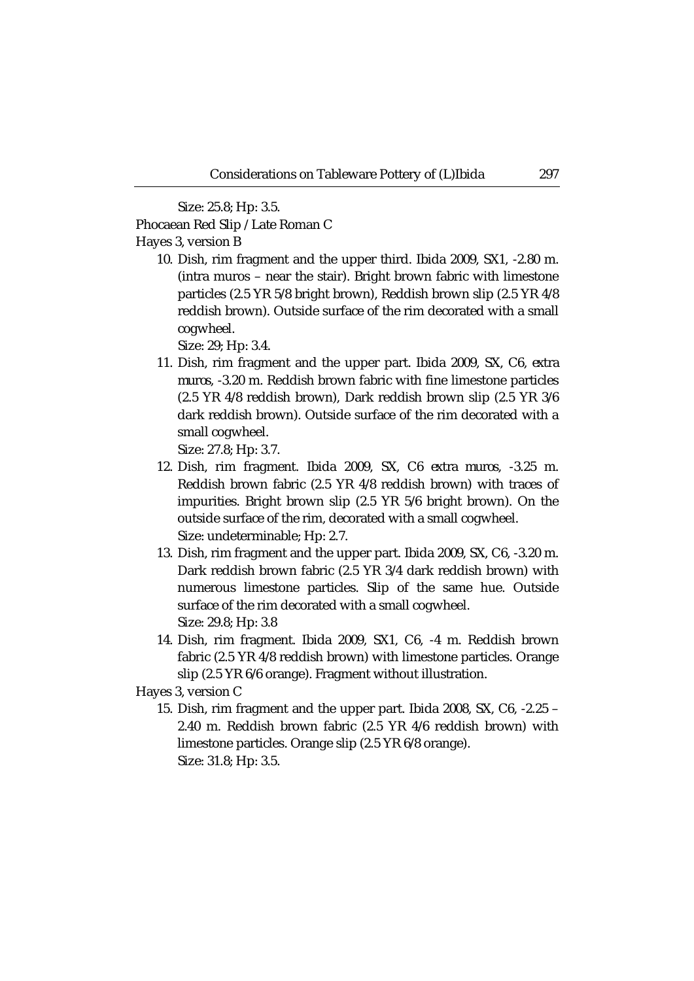Size: 25.8; Hp: 3.5.

Phocaean Red Slip / Late Roman C

Hayes 3, version B

10. Dish, rim fragment and the upper third. Ibida 2009, SX1, -2.80 m. (intra muros – near the stair). Bright brown fabric with limestone particles (2.5 YR 5/8 bright brown), Reddish brown slip (2.5 YR 4/8 reddish brown). Outside surface of the rim decorated with a small cogwheel.

Size: 29; Hp: 3.4.

11. Dish, rim fragment and the upper part. Ibida 2009, SX, C6, *extra muros*, -3.20 m. Reddish brown fabric with fine limestone particles (2.5 YR 4/8 reddish brown), Dark reddish brown slip (2.5 YR 3/6 dark reddish brown). Outside surface of the rim decorated with a small cogwheel.

Size: 27.8; Hp: 3.7.

- 12. Dish, rim fragment. Ibida 2009, SX, C6 *extra muros*, -3.25 m. Reddish brown fabric (2.5 YR 4/8 reddish brown) with traces of impurities. Bright brown slip (2.5 YR 5/6 bright brown). On the outside surface of the rim, decorated with a small cogwheel. Size: undeterminable; Hp: 2.7.
- 13. Dish, rim fragment and the upper part. Ibida 2009, SX, C6, -3.20 m. Dark reddish brown fabric (2.5 YR 3/4 dark reddish brown) with numerous limestone particles. Slip of the same hue. Outside surface of the rim decorated with a small cogwheel. Size: 29.8; Hp: 3.8
- 14. Dish, rim fragment. Ibida 2009, SX1, C6, -4 m. Reddish brown fabric (2.5 YR 4/8 reddish brown) with limestone particles. Orange slip (2.5 YR 6/6 orange). Fragment without illustration.

Hayes 3, version C

15. Dish, rim fragment and the upper part. Ibida 2008, SX, C6, -2.25 – 2.40 m. Reddish brown fabric (2.5 YR 4/6 reddish brown) with limestone particles. Orange slip (2.5 YR 6/8 orange). Size: 31.8; Hp: 3.5.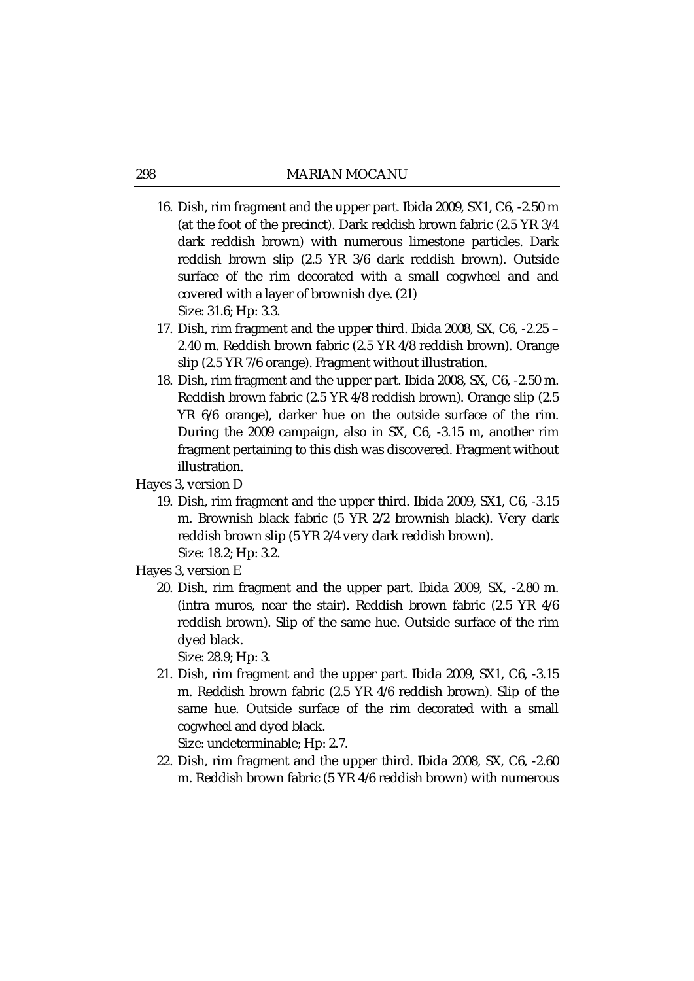- 16. Dish, rim fragment and the upper part. Ibida 2009, SX1, C6, -2.50 m (at the foot of the precinct). Dark reddish brown fabric (2.5 YR 3/4 dark reddish brown) with numerous limestone particles. Dark reddish brown slip (2.5 YR 3/6 dark reddish brown). Outside surface of the rim decorated with a small cogwheel and and covered with a layer of brownish dye. (21) Size: 31.6; Hp: 3.3.
- 17. Dish, rim fragment and the upper third. Ibida 2008, SX, C6, -2.25 2.40 m. Reddish brown fabric (2.5 YR 4/8 reddish brown). Orange slip (2.5 YR 7/6 orange). Fragment without illustration.
- 18. Dish, rim fragment and the upper part. Ibida 2008, SX, C6, -2.50 m. Reddish brown fabric (2.5 YR 4/8 reddish brown). Orange slip (2.5 YR 6/6 orange), darker hue on the outside surface of the rim. During the 2009 campaign, also in SX, C6, -3.15 m, another rim fragment pertaining to this dish was discovered. Fragment without illustration.
- Hayes 3, version D
	- 19. Dish, rim fragment and the upper third. Ibida 2009, SX1, C6, -3.15 m. Brownish black fabric (5 YR 2/2 brownish black). Very dark reddish brown slip (5 YR 2/4 very dark reddish brown). Size: 18.2; Hp: 3.2.
- Hayes 3, version E
	- 20. Dish, rim fragment and the upper part. Ibida 2009, SX, -2.80 m. (intra muros, near the stair). Reddish brown fabric (2.5 YR 4/6 reddish brown). Slip of the same hue. Outside surface of the rim dyed black.

Size: 28.9; Hp: 3.

21. Dish, rim fragment and the upper part. Ibida 2009, SX1, C6, -3.15 m. Reddish brown fabric (2.5 YR 4/6 reddish brown). Slip of the same hue. Outside surface of the rim decorated with a small cogwheel and dyed black.

Size: undeterminable; Hp: 2.7.

22. Dish, rim fragment and the upper third. Ibida 2008, SX, C6, -2.60 m. Reddish brown fabric (5 YR 4/6 reddish brown) with numerous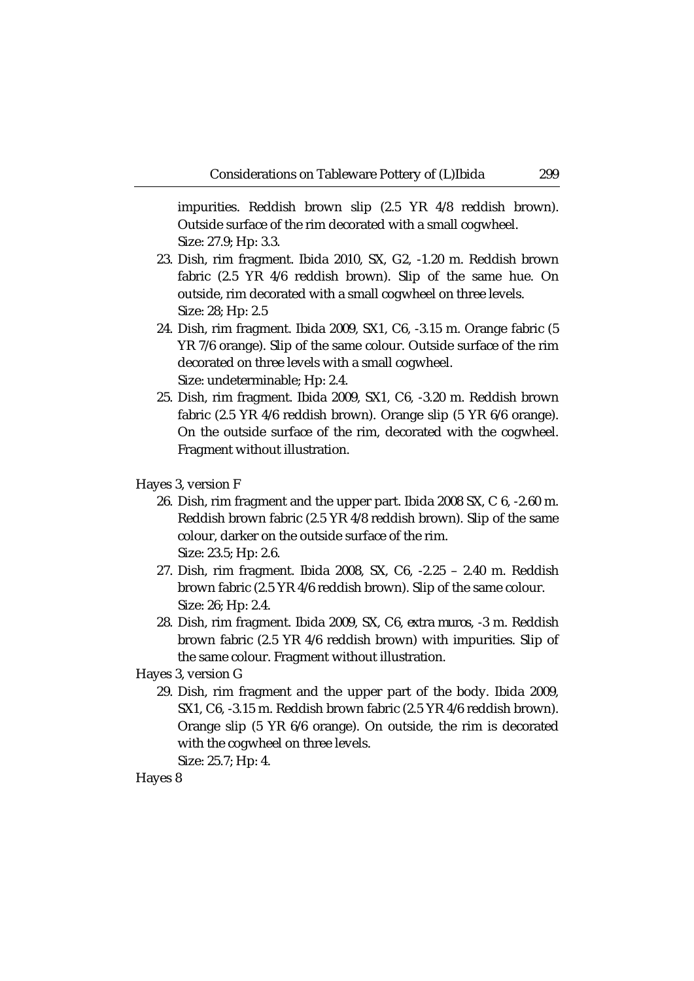impurities. Reddish brown slip (2.5 YR 4/8 reddish brown). Outside surface of the rim decorated with a small cogwheel. Size: 27.9; Hp: 3.3.

- 23. Dish, rim fragment. Ibida 2010, SX, G2, -1.20 m. Reddish brown fabric (2.5 YR 4/6 reddish brown). Slip of the same hue. On outside, rim decorated with a small cogwheel on three levels. Size: 28; Hp: 2.5
- 24. Dish, rim fragment. Ibida 2009, SX1, C6, -3.15 m. Orange fabric (5 YR 7/6 orange). Slip of the same colour. Outside surface of the rim decorated on three levels with a small cogwheel. Size: undeterminable; Hp: 2.4.
- 25. Dish, rim fragment. Ibida 2009, SX1, C6, -3.20 m. Reddish brown fabric (2.5 YR 4/6 reddish brown). Orange slip (5 YR 6/6 orange). On the outside surface of the rim, decorated with the cogwheel. Fragment without illustration.

Hayes 3, version F

- 26. Dish, rim fragment and the upper part. Ibida 2008 SX, C 6, -2.60 m. Reddish brown fabric (2.5 YR 4/8 reddish brown). Slip of the same colour, darker on the outside surface of the rim. Size: 23.5; Hp: 2.6.
- 27. Dish, rim fragment. Ibida 2008, SX, C6, -2.25 2.40 m. Reddish brown fabric (2.5 YR 4/6 reddish brown). Slip of the same colour. Size: 26; Hp: 2.4.
- 28. Dish, rim fragment. Ibida 2009, SX, C6, *extra muros*, -3 m. Reddish brown fabric (2.5 YR 4/6 reddish brown) with impurities. Slip of the same colour. Fragment without illustration.

Hayes 3, version G

29. Dish, rim fragment and the upper part of the body. Ibida 2009, SX1, C6, -3.15 m. Reddish brown fabric (2.5 YR 4/6 reddish brown). Orange slip (5 YR 6/6 orange). On outside, the rim is decorated with the cogwheel on three levels.

Size: 25.7; Hp: 4.

Hayes 8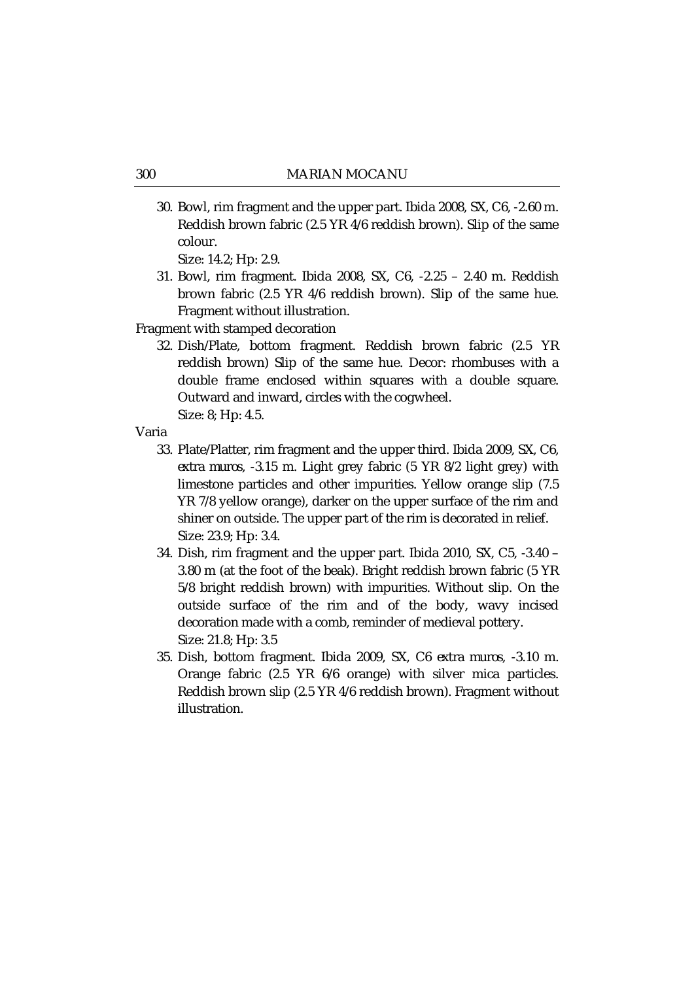30. Bowl, rim fragment and the upper part. Ibida 2008, SX, C6, -2.60 m. Reddish brown fabric (2.5 YR 4/6 reddish brown). Slip of the same colour.

Size: 14.2; Hp: 2.9.

31. Bowl, rim fragment. Ibida 2008, SX, C6, -2.25 – 2.40 m. Reddish brown fabric (2.5 YR 4/6 reddish brown). Slip of the same hue. Fragment without illustration.

Fragment with stamped decoration

- 32. Dish/Plate, bottom fragment. Reddish brown fabric (2.5 YR reddish brown) Slip of the same hue. Decor: rhombuses with a double frame enclosed within squares with a double square. Outward and inward, circles with the cogwheel. Size: 8; Hp: 4.5.
- Varia
	- 33. Plate/Platter, rim fragment and the upper third. Ibida 2009, SX, C6, *extra muros*, -3.15 m. Light grey fabric (5 YR 8/2 light grey) with limestone particles and other impurities. Yellow orange slip (7.5 YR 7/8 yellow orange), darker on the upper surface of the rim and shiner on outside. The upper part of the rim is decorated in relief. Size: 23.9; Hp: 3.4.
	- 34. Dish, rim fragment and the upper part. Ibida 2010, SX, C5, -3.40 3.80 m (at the foot of the beak). Bright reddish brown fabric (5 YR 5/8 bright reddish brown) with impurities. Without slip. On the outside surface of the rim and of the body, wavy incised decoration made with a comb, reminder of medieval pottery. Size: 21.8; Hp: 3.5
	- 35. Dish, bottom fragment. Ibida 2009, SX, C6 *extra muros*, -3.10 m. Orange fabric (2.5 YR 6/6 orange) with silver mica particles. Reddish brown slip (2.5 YR 4/6 reddish brown). Fragment without illustration.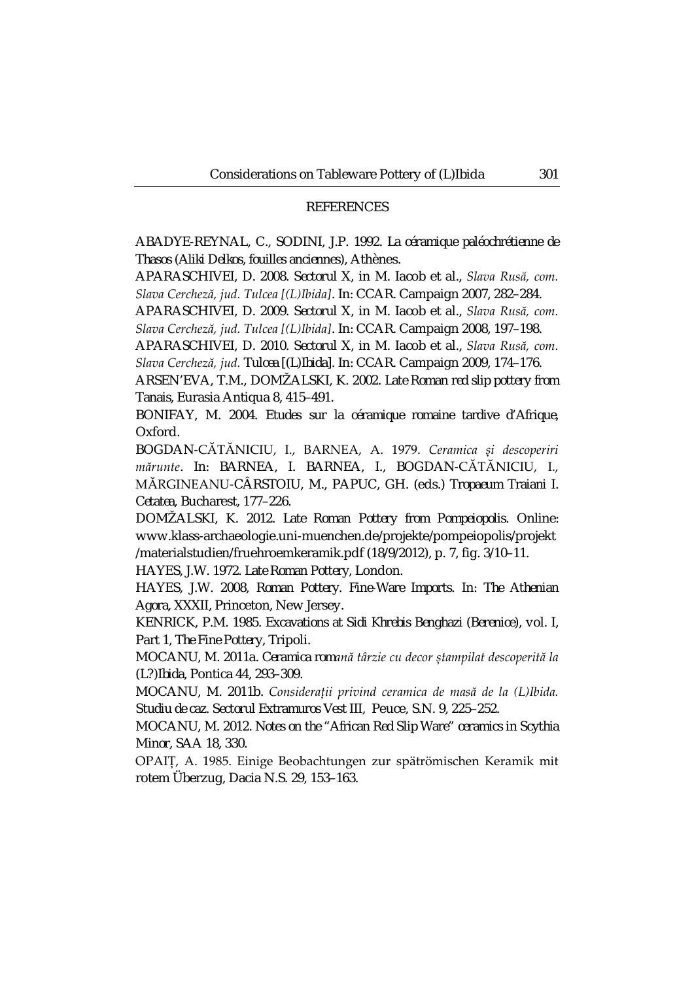### **REFERENCES**

ABADYE-REYNAL, C., SODINI, J.P. 1992. *La céramique paléochrétienne de Thasos (Aliki Delkos, fouilles anciennes)*, Athènes.

APARASCHIVEI, D. 2008. *Sectorul X*, in M. Iacob et al., *Slava Rusă, com. Slava Cercheză, jud. Tulcea [(L)Ibida]*. In: CCAR. Campaign 2007, 282–284.

APARASCHIVEI, D. 2009. *Sectorul X*, in M. Iacob et al., *Slava Rusă, com. Slava Cercheză, jud. Tulcea [(L)Ibida]*. In: CCAR. Campaign 2008, 197–198.

APARASCHIVEI, D. 2010. *Sectorul X*, in M. Iacob et al., *Slava Rusă, com. Slava Cercheză, jud. Tulcea [(L)Ibida]*. In: CCAR. Campaign 2009, 174–176.

ARSEN'EVA, T.M., DOMŽALSKI, K. 2002. *Late Roman red slip pottery from Tanais*, Eurasia Antiqua 8, 415–491.

BONIFAY, M. 2004. *Etudes sur la céramique romaine tardive d'Afrique*, Oxford.

BOGDAN-CĂTĂNICIU, I., BARNEA, A. 1979. *Ceramica și descoperiri mărunte*. In: BARNEA, I. BARNEA, I., BOGDAN-CĂTĂNICIU, I., MĂRGINEANU-CÂRSTOIU, M., PAPUC, GH. (eds.) *Tropaeum Traiani I. Cetatea*, Bucharest, 177–226.

DOMŽALSKI, K. 2012. *Late Roman Pottery from Pompeiopolis.* Online: www.klass-archaeologie.uni-muenchen.de/projekte/pompeiopolis/projekt /materialstudien/fruehroemkeramik.pdf (18/9/2012), p. 7, fig. 3/10–11.

HAYES, J.W. 1972. *Late Roman Pottery*, London.

HAYES, J.W. 2008, *Roman Pottery. Fine-Ware Imports*. In: *The Athenian Agora*, XXXII, Princeton, New Jersey.

KENRICK, P.M. 1985. *Excavations at Sidi Khrebis Benghazi (Berenice)*, vol. I, Part 1, *The Fine Pottery*, Tripoli.

MOCANU, M. 2011a. *Ceramica romană târzie cu decor ștampilat descoperită la (L?)Ibida*, Pontica 44, 293–309.

MOCANU, M. 2011b. *Considerații privind ceramica de masă de la (L)Ibida. Studiu de caz. Sectorul Extramuros Vest III*, Peuce, S.N. 9, 225–252.

MOCANU, M. 2012. *Notes on the "African Red Slip Ware" ceramics in Scythia Minor*, SAA 18, 330.

OPAIȚ, A. 1985. Einige Beobachtungen zur spätrömischen Keramik mit rotem Überzug, Dacia N.S. 29, 153–163.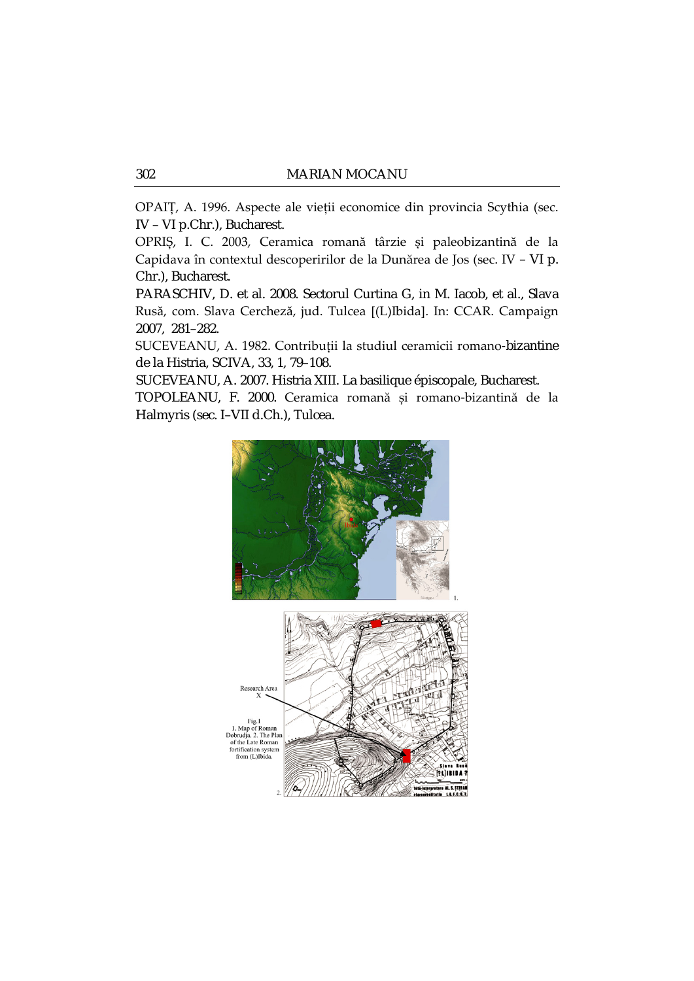OPAIȚ, A. 1996. Aspecte ale vieții economice din provincia Scythia (sec. IV – VI p.Chr.), Bucharest.

OPRIȘ, I. C. 2003, Ceramica romană târzie și paleobizantină de la Capidava în contextul descoperirilor de la Dunărea de Jos (sec. IV – VI p. Chr.), Bucharest.

PARASCHIV, D. et al. 2008. Sectorul Curtina G, in M. Iacob, et al., Slava Rusă, com. Slava Cercheză, jud. Tulcea [(L)Ibida]. In: CCAR. Campaign 2007, 281–282.

SUCEVEANU, A. 1982. Contribuții la studiul ceramicii romano-bizantine de la Histria, SCIVA, 33, 1, 79–108.

SUCEVEANU, A. 2007. Histria XIII. La basilique épiscopale, Bucharest.

TOPOLEANU, F. 2000. Ceramica romană și romano-bizantină de la Halmyris (sec. I–VII d.Ch.), Tulcea.

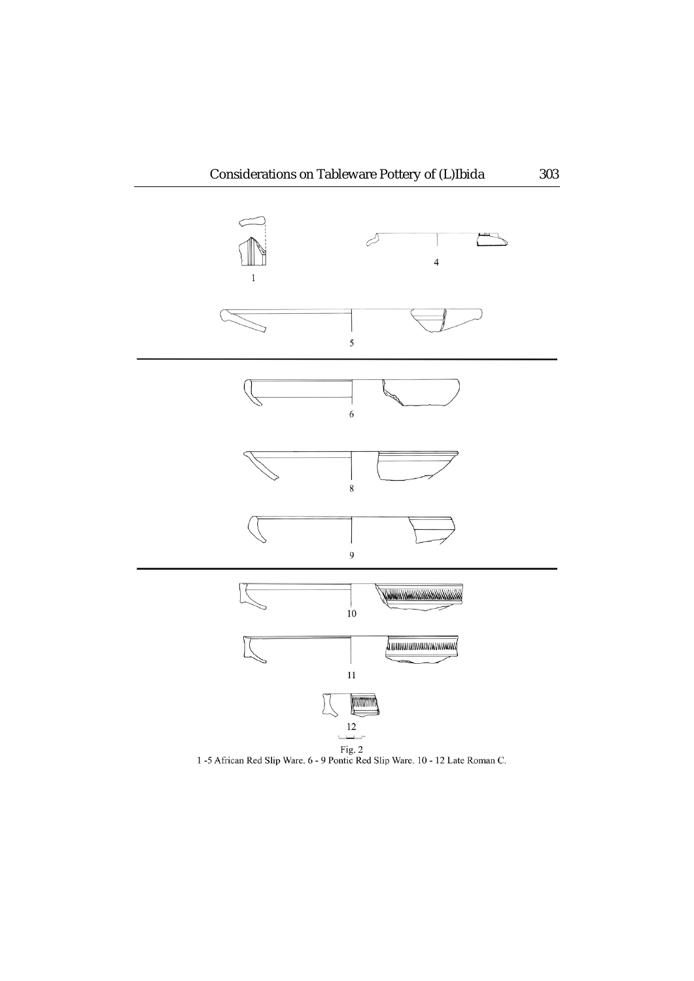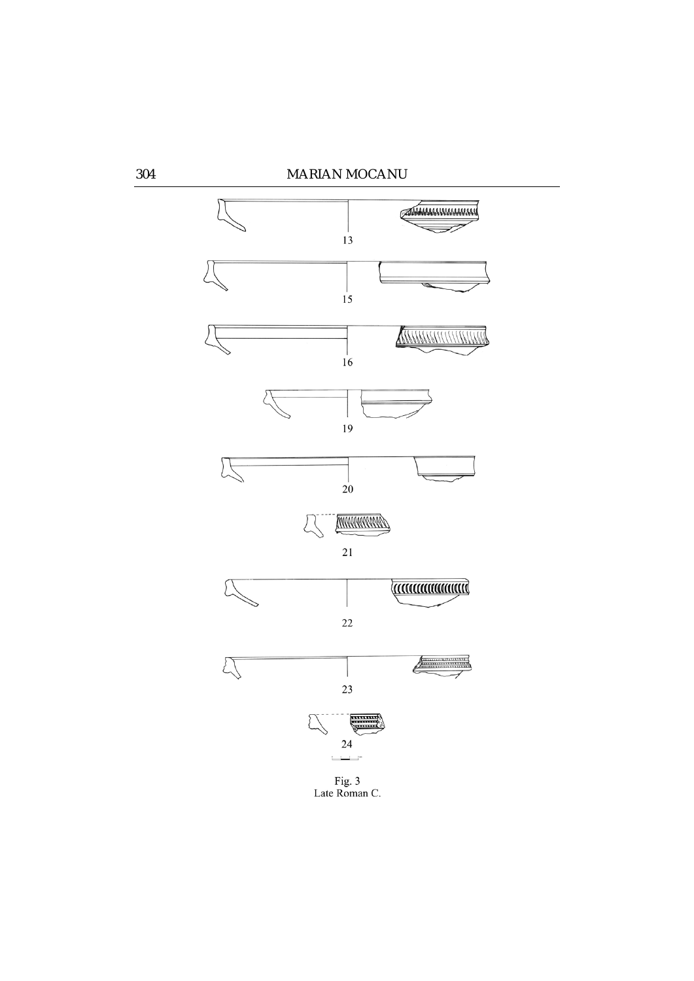